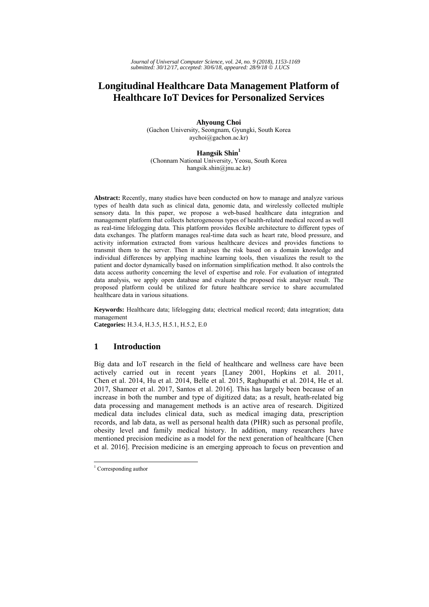*Journal of Universal Computer Science, vol. 24, no. 9 (2018), 1153-1169 submitted: 30/12/17, accepted: 30/6/18, appeared: 28/9/18* © *J.UCS*

# **Longitudinal Healthcare Data Management Platform of Healthcare IoT Devices for Personalized Services**

**Ahyoung Choi**  (Gachon University, Seongnam, Gyungki, South Korea aychoi@gachon.ac.kr)

**Hangsik Shin<sup>1</sup>** (Chonnam National University, Yeosu, South Korea hangsik.shin@jnu.ac.kr)

**Abstract:** Recently, many studies have been conducted on how to manage and analyze various types of health data such as clinical data, genomic data, and wirelessly collected multiple sensory data. In this paper, we propose a web-based healthcare data integration and management platform that collects heterogeneous types of health-related medical record as well as real-time lifelogging data. This platform provides flexible architecture to different types of data exchanges. The platform manages real-time data such as heart rate, blood pressure, and activity information extracted from various healthcare devices and provides functions to transmit them to the server. Then it analyses the risk based on a domain knowledge and individual differences by applying machine learning tools, then visualizes the result to the patient and doctor dynamically based on information simplification method. It also controls the data access authority concerning the level of expertise and role. For evaluation of integrated data analysis, we apply open database and evaluate the proposed risk analyser result. The proposed platform could be utilized for future healthcare service to share accumulated healthcare data in various situations.

**Keywords:** Healthcare data; lifelogging data; electrical medical record; data integration; data management

**Categories:** H.3.4, H.3.5, H.5.1, H.5.2, E.0

## **1 Introduction**

Big data and IoT research in the field of healthcare and wellness care have been actively carried out in recent years [Laney 2001, Hopkins et al. 2011, Chen et al. 2014, Hu et al. 2014, Belle et al. 2015, Raghupathi et al. 2014, He et al. 2017, Shameer et al. 2017, Santos et al. 2016]. This has largely been because of an increase in both the number and type of digitized data; as a result, heath-related big data processing and management methods is an active area of research. Digitized medical data includes clinical data, such as medical imaging data, prescription records, and lab data, as well as personal health data (PHR) such as personal profile, obesity level and family medical history. In addition, many researchers have mentioned precision medicine as a model for the next generation of healthcare [Chen et al. 2016]. Precision medicine is an emerging approach to focus on prevention and

<sup>&</sup>lt;sup>1</sup> Corresponding author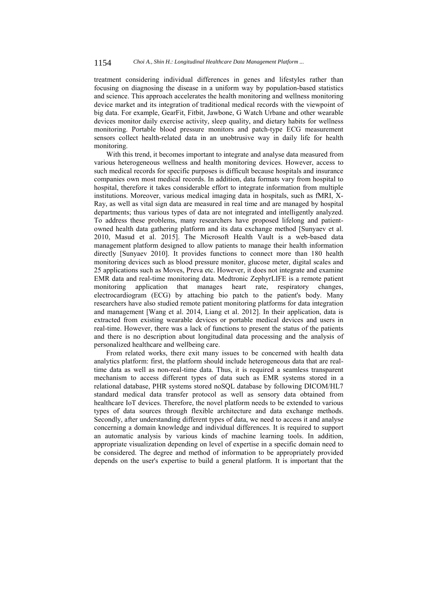treatment considering individual differences in genes and lifestyles rather than focusing on diagnosing the disease in a uniform way by population-based statistics and science. This approach accelerates the health monitoring and wellness monitoring device market and its integration of traditional medical records with the viewpoint of big data. For example, GearFit, Fitbit, Jawbone, G Watch Urbane and other wearable devices monitor daily exercise activity, sleep quality, and dietary habits for wellness monitoring. Portable blood pressure monitors and patch-type ECG measurement sensors collect health-related data in an unobtrusive way in daily life for health monitoring.

With this trend, it becomes important to integrate and analyse data measured from various heterogeneous wellness and health monitoring devices. However, access to such medical records for specific purposes is difficult because hospitals and insurance companies own most medical records. In addition, data formats vary from hospital to hospital, therefore it takes considerable effort to integrate information from multiple institutions. Moreover, various medical imaging data in hospitals, such as fMRI, X-Ray, as well as vital sign data are measured in real time and are managed by hospital departments; thus various types of data are not integrated and intelligently analyzed. To address these problems, many researchers have proposed lifelong and patientowned health data gathering platform and its data exchange method [Sunyaev et al. 2010, Masud et al. 2015]. The Microsoft Health Vault is a web-based data management platform designed to allow patients to manage their health information directly [Sunyaev 2010]. It provides functions to connect more than 180 health monitoring devices such as blood pressure monitor, glucose meter, digital scales and 25 applications such as Moves, Preva etc. However, it does not integrate and examine EMR data and real-time monitoring data. Medtronic ZephyrLIFE is a remote patient monitoring application that manages heart rate, respiratory changes, electrocardiogram (ECG) by attaching bio patch to the patient's body. Many researchers have also studied remote patient monitoring platforms for data integration and management [Wang et al. 2014, Liang et al. 2012]. In their application, data is extracted from existing wearable devices or portable medical devices and users in real-time. However, there was a lack of functions to present the status of the patients and there is no description about longitudinal data processing and the analysis of personalized healthcare and wellbeing care.

From related works, there exit many issues to be concerned with health data analytics platform: first, the platform should include heterogeneous data that are realtime data as well as non-real-time data. Thus, it is required a seamless transparent mechanism to access different types of data such as EMR systems stored in a relational database, PHR systems stored noSQL database by following DICOM/HL7 standard medical data transfer protocol as well as sensory data obtained from healthcare IoT devices. Therefore, the novel platform needs to be extended to various types of data sources through flexible architecture and data exchange methods. Secondly, after understanding different types of data, we need to access it and analyse concerning a domain knowledge and individual differences. It is required to support an automatic analysis by various kinds of machine learning tools. In addition, appropriate visualization depending on level of expertise in a specific domain need to be considered. The degree and method of information to be appropriately provided depends on the user's expertise to build a general platform. It is important that the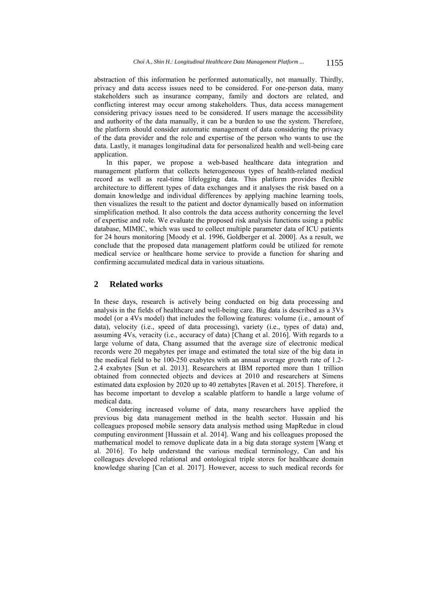abstraction of this information be performed automatically, not manually. Thirdly, privacy and data access issues need to be considered. For one-person data, many stakeholders such as insurance company, family and doctors are related, and conflicting interest may occur among stakeholders. Thus, data access management considering privacy issues need to be considered. If users manage the accessibility and authority of the data manually, it can be a burden to use the system. Therefore, the platform should consider automatic management of data considering the privacy of the data provider and the role and expertise of the person who wants to use the data. Lastly, it manages longitudinal data for personalized health and well-being care application.

In this paper, we propose a web-based healthcare data integration and management platform that collects heterogeneous types of health-related medical record as well as real-time lifelogging data. This platform provides flexible architecture to different types of data exchanges and it analyses the risk based on a domain knowledge and individual differences by applying machine learning tools, then visualizes the result to the patient and doctor dynamically based on information simplification method. It also controls the data access authority concerning the level of expertise and role. We evaluate the proposed risk analysis functions using a public database, MIMIC, which was used to collect multiple parameter data of ICU patients for 24 hours monitoring [Moody et al. 1996, Goldberger et al. 2000]. As a result, we conclude that the proposed data management platform could be utilized for remote medical service or healthcare home service to provide a function for sharing and confirming accumulated medical data in various situations.

## **2 Related works**

In these days, research is actively being conducted on big data processing and analysis in the fields of healthcare and well-being care. Big data is described as a 3Vs model (or a 4Vs model) that includes the following features: volume (i.e., amount of data), velocity (i.e., speed of data processing), variety (i.e., types of data) and, assuming 4Vs, veracity (i.e., accuracy of data) [Chang et al. 2016]. With regards to a large volume of data, Chang assumed that the average size of electronic medical records were 20 megabytes per image and estimated the total size of the big data in the medical field to be 100-250 exabytes with an annual average growth rate of 1.2- 2.4 exabytes [Sun et al. 2013]. Researchers at IBM reported more than 1 trillion obtained from connected objects and devices at 2010 and researchers at Simens estimated data explosion by 2020 up to 40 zettabytes [Raven et al. 2015]. Therefore, it has become important to develop a scalable platform to handle a large volume of medical data.

Considering increased volume of data, many researchers have applied the previous big data management method in the health sector. Hussain and his colleagues proposed mobile sensory data analysis method using MapRedue in cloud computing environment [Hussain et al. 2014]. Wang and his colleagues proposed the mathematical model to remove duplicate data in a big data storage system [Wang et al. 2016]. To help understand the various medical terminology, Can and his colleagues developed relational and ontological triple stores for healthcare domain knowledge sharing [Can et al. 2017]. However, access to such medical records for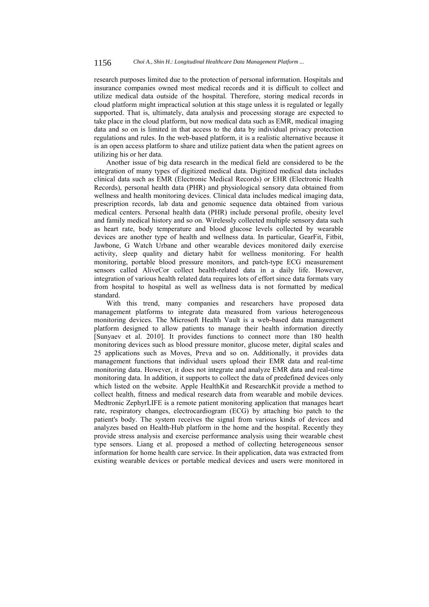research purposes limited due to the protection of personal information. Hospitals and insurance companies owned most medical records and it is difficult to collect and utilize medical data outside of the hospital. Therefore, storing medical records in cloud platform might impractical solution at this stage unless it is regulated or legally supported. That is, ultimately, data analysis and processing storage are expected to take place in the cloud platform, but now medical data such as EMR, medical imaging data and so on is limited in that access to the data by individual privacy protection regulations and rules. In the web-based platform, it is a realistic alternative because it is an open access platform to share and utilize patient data when the patient agrees on utilizing his or her data.

Another issue of big data research in the medical field are considered to be the integration of many types of digitized medical data. Digitized medical data includes clinical data such as EMR (Electronic Medical Records) or EHR (Electronic Health Records), personal health data (PHR) and physiological sensory data obtained from wellness and health monitoring devices. Clinical data includes medical imaging data, prescription records, lab data and genomic sequence data obtained from various medical centers. Personal health data (PHR) include personal profile, obesity level and family medical history and so on. Wirelessly collected multiple sensory data such as heart rate, body temperature and blood glucose levels collected by wearable devices are another type of health and wellness data. In particular, GearFit, Fitbit, Jawbone, G Watch Urbane and other wearable devices monitored daily exercise activity, sleep quality and dietary habit for wellness monitoring. For health monitoring, portable blood pressure monitors, and patch-type ECG measurement sensors called AliveCor collect health-related data in a daily life. However, integration of various health related data requires lots of effort since data formats vary from hospital to hospital as well as wellness data is not formatted by medical standard.

With this trend, many companies and researchers have proposed data management platforms to integrate data measured from various heterogeneous monitoring devices. The Microsoft Health Vault is a web-based data management platform designed to allow patients to manage their health information directly [Sunyaev et al. 2010]. It provides functions to connect more than 180 health monitoring devices such as blood pressure monitor, glucose meter, digital scales and 25 applications such as Moves, Preva and so on. Additionally, it provides data management functions that individual users upload their EMR data and real-time monitoring data. However, it does not integrate and analyze EMR data and real-time monitoring data. In addition, it supports to collect the data of predefined devices only which listed on the website. Apple HealthKit and ResearchKit provide a method to collect health, fitness and medical research data from wearable and mobile devices. Medtronic ZephyrLIFE is a remote patient monitoring application that manages heart rate, respiratory changes, electrocardiogram (ECG) by attaching bio patch to the patient's body. The system receives the signal from various kinds of devices and analyzes based on Health-Hub platform in the home and the hospital. Recently they provide stress analysis and exercise performance analysis using their wearable chest type sensors. Liang et al. proposed a method of collecting heterogeneous sensor information for home health care service. In their application, data was extracted from existing wearable devices or portable medical devices and users were monitored in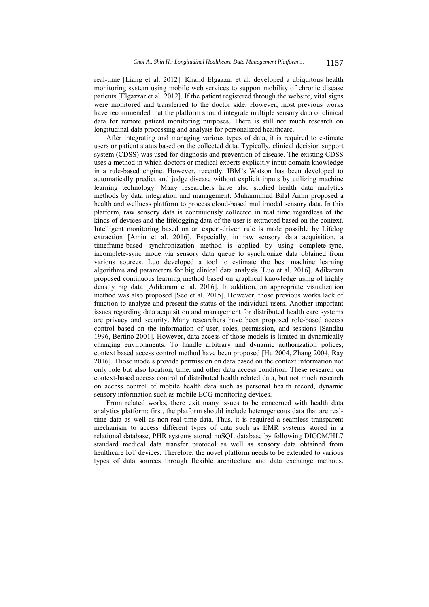real-time [Liang et al. 2012]. Khalid Elgazzar et al. developed a ubiquitous health monitoring system using mobile web services to support mobility of chronic disease patients [Elgazzar et al. 2012]. If the patient registered through the website, vital signs were monitored and transferred to the doctor side. However, most previous works have recommended that the platform should integrate multiple sensory data or clinical data for remote patient monitoring purposes. There is still not much research on longitudinal data processing and analysis for personalized healthcare.

After integrating and managing various types of data, it is required to estimate users or patient status based on the collected data. Typically, clinical decision support system (CDSS) was used for diagnosis and prevention of disease. The existing CDSS uses a method in which doctors or medical experts explicitly input domain knowledge in a rule-based engine. However, recently, IBM's Watson has been developed to automatically predict and judge disease without explicit inputs by utilizing machine learning technology. Many researchers have also studied health data analytics methods by data integration and management. Muhanmmad Bilal Amin proposed a health and wellness platform to process cloud-based multimodal sensory data. In this platform, raw sensory data is continuously collected in real time regardless of the kinds of devices and the lifelogging data of the user is extracted based on the context. Intelligent monitoring based on an expert-driven rule is made possible by Lifelog extraction [Amin et al. 2016]. Especially, in raw sensory data acquisition, a timeframe-based synchronization method is applied by using complete-sync, incomplete-sync mode via sensory data queue to synchronize data obtained from various sources. Luo developed a tool to estimate the best machine learning algorithms and parameters for big clinical data analysis [Luo et al. 2016]. Adikaram proposed continuous learning method based on graphical knowledge using of highly density big data [Adikaram et al. 2016]. In addition, an appropriate visualization method was also proposed [Seo et al. 2015]. However, those previous works lack of function to analyze and present the status of the individual users. Another important issues regarding data acquisition and management for distributed health care systems are privacy and security. Many researchers have been proposed role-based access control based on the information of user, roles, permission, and sessions [Sandhu 1996, Bertino 2001]. However, data access of those models is limited in dynamically changing environments. To handle arbitrary and dynamic authorization polices, context based access control method have been proposed [Hu 2004, Zhang 2004, Ray 2016]. Those models provide permission on data based on the context information not only role but also location, time, and other data access condition. These research on context-based access control of distributed health related data, but not much research on access control of mobile health data such as personal health record, dynamic sensory information such as mobile ECG monitoring devices.

From related works, there exit many issues to be concerned with health data analytics platform: first, the platform should include heterogeneous data that are realtime data as well as non-real-time data. Thus, it is required a seamless transparent mechanism to access different types of data such as EMR systems stored in a relational database, PHR systems stored noSQL database by following DICOM/HL7 standard medical data transfer protocol as well as sensory data obtained from healthcare IoT devices. Therefore, the novel platform needs to be extended to various types of data sources through flexible architecture and data exchange methods.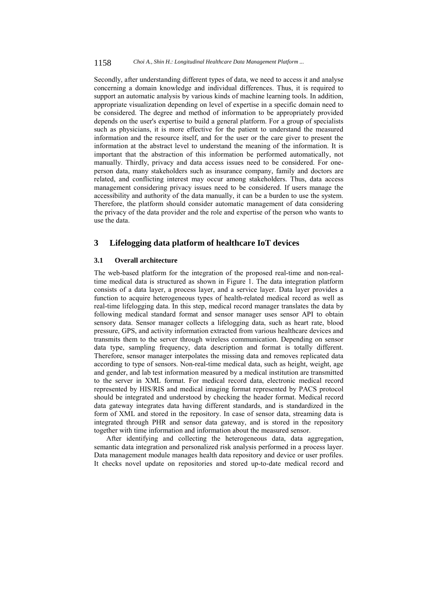Secondly, after understanding different types of data, we need to access it and analyse concerning a domain knowledge and individual differences. Thus, it is required to support an automatic analysis by various kinds of machine learning tools. In addition, appropriate visualization depending on level of expertise in a specific domain need to be considered. The degree and method of information to be appropriately provided depends on the user's expertise to build a general platform. For a group of specialists such as physicians, it is more effective for the patient to understand the measured information and the resource itself, and for the user or the care giver to present the information at the abstract level to understand the meaning of the information. It is important that the abstraction of this information be performed automatically, not manually. Thirdly, privacy and data access issues need to be considered. For oneperson data, many stakeholders such as insurance company, family and doctors are related, and conflicting interest may occur among stakeholders. Thus, data access management considering privacy issues need to be considered. If users manage the accessibility and authority of the data manually, it can be a burden to use the system. Therefore, the platform should consider automatic management of data considering the privacy of the data provider and the role and expertise of the person who wants to use the data.

### **3 Lifelogging data platform of healthcare IoT devices**

#### **3.1 Overall architecture**

The web-based platform for the integration of the proposed real-time and non-realtime medical data is structured as shown in Figure 1. The data integration platform consists of a data layer, a process layer, and a service layer. Data layer provides a function to acquire heterogeneous types of health-related medical record as well as real-time lifelogging data. In this step, medical record manager translates the data by following medical standard format and sensor manager uses sensor API to obtain sensory data. Sensor manager collects a lifelogging data, such as heart rate, blood pressure, GPS, and activity information extracted from various healthcare devices and transmits them to the server through wireless communication. Depending on sensor data type, sampling frequency, data description and format is totally different. Therefore, sensor manager interpolates the missing data and removes replicated data according to type of sensors. Non-real-time medical data, such as height, weight, age and gender, and lab test information measured by a medical institution are transmitted to the server in XML format. For medical record data, electronic medical record represented by HIS/RIS and medical imaging format represented by PACS protocol should be integrated and understood by checking the header format. Medical record data gateway integrates data having different standards, and is standardized in the form of XML and stored in the repository. In case of sensor data, streaming data is integrated through PHR and sensor data gateway, and is stored in the repository together with time information and information about the measured sensor.

After identifying and collecting the heterogeneous data, data aggregation, semantic data integration and personalized risk analysis performed in a process layer. Data management module manages health data repository and device or user profiles. It checks novel update on repositories and stored up-to-date medical record and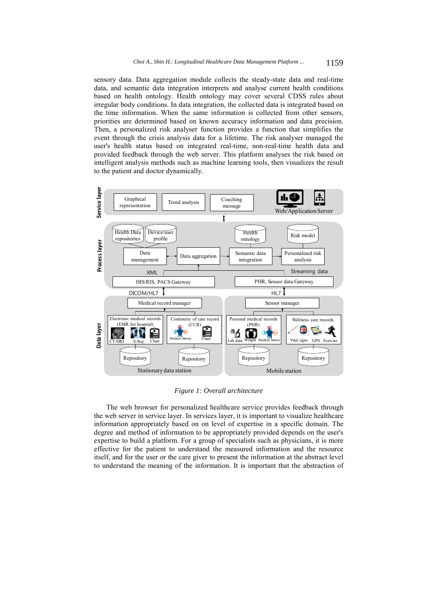sensory data. Data aggregation module collects the steady-state data and real-time data, and semantic data integration interprets and analyse current health conditions based on health ontology. Health ontology may cover several CDSS rules about irregular body conditions. In data integration, the collected data is integrated based on the time information. When the same information is collected from other sensors, priorities are determined based on known accuracy information and data precision. Then, a personalized risk analyser function provides a function that simplifies the event through the crisis analysis data for a lifetime. The risk analyser managed the user's health status based on integrated real-time, non-real-time health data and provided feedback through the web server. This platform analyses the risk based on intelligent analysis methods such as machine learning tools, then visualizes the result to the patient and doctor dynamically.



*Figure 1: Overall architecture* 

The web browser for personalized healthcare service provides feedback through the web server in service layer. In services layer, it is important to visualize healthcare information appropriately based on on level of expertise in a specific domain. The degree and method of information to be appropriately provided depends on the user's expertise to build a platform. For a group of specialists such as physicians, it is more effective for the patient to understand the measured information and the resource itself, and for the user or the care giver to present the information at the abstract level to understand the meaning of the information. It is important that the abstraction of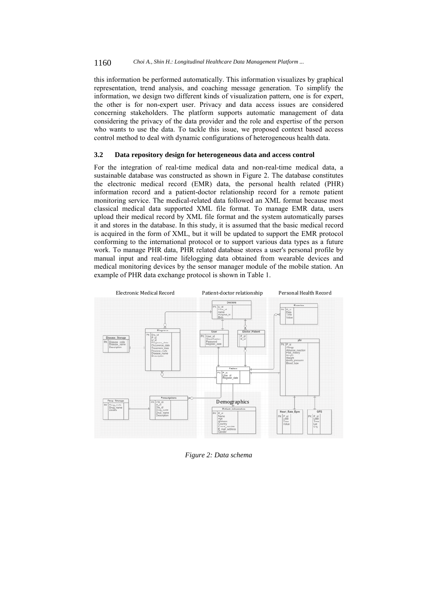this information be performed automatically. This information visualizes by graphical representation, trend analysis, and coaching message generation. To simplify the information, we design two different kinds of visualization pattern, one is for expert, the other is for non-expert user. Privacy and data access issues are considered concerning stakeholders. The platform supports automatic management of data considering the privacy of the data provider and the role and expertise of the person who wants to use the data. To tackle this issue, we proposed context based access control method to deal with dynamic configurations of heterogeneous health data.

#### **3.2 Data repository design for heterogeneous data and access control**

For the integration of real-time medical data and non-real-time medical data, a sustainable database was constructed as shown in Figure 2. The database constitutes the electronic medical record (EMR) data, the personal health related (PHR) information record and a patient-doctor relationship record for a remote patient monitoring service. The medical-related data followed an XML format because most classical medical data supported XML file format. To manage EMR data, users upload their medical record by XML file format and the system automatically parses it and stores in the database. In this study, it is assumed that the basic medical record is acquired in the form of XML, but it will be updated to support the EMR protocol conforming to the international protocol or to support various data types as a future work. To manage PHR data, PHR related database stores a user's personal profile by manual input and real-time lifelogging data obtained from wearable devices and medical monitoring devices by the sensor manager module of the mobile station. An example of PHR data exchange protocol is shown in Table 1.



*Figure 2: Data schema*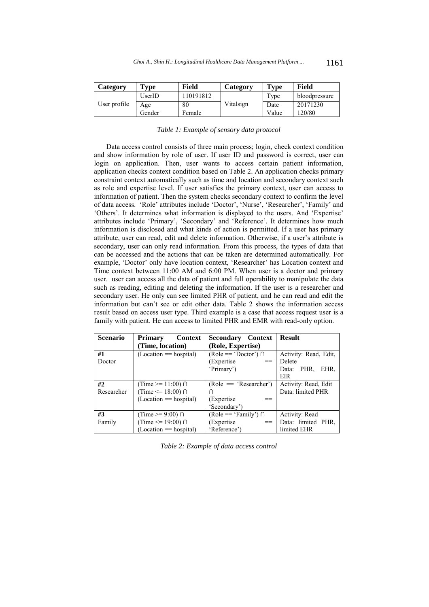| Category     | Type   | Field     | Category  | <b>Type</b> | Field         |
|--------------|--------|-----------|-----------|-------------|---------------|
|              | UserID | 110191812 |           | Type        | bloodpressure |
| User profile | Age    | 80        | Vitalsign | Date        | 20171230      |
|              | Gender | Female    |           | Value       | 120/80        |

| Table 1: Example of sensory data protocol |  |  |  |
|-------------------------------------------|--|--|--|
|                                           |  |  |  |

Data access control consists of three main process; login, check context condition and show information by role of user. If user ID and password is correct, user can login on application. Then, user wants to access certain patient information, application checks context condition based on Table 2. An application checks primary constraint context automatically such as time and location and secondary context such as role and expertise level. If user satisfies the primary context, user can access to information of patient. Then the system checks secondary context to confirm the level of data access. 'Role' attributes include 'Doctor', 'Nurse', 'Researcher', 'Family' and 'Others'. It determines what information is displayed to the users. And 'Expertise' attributes include 'Primary', 'Secondary' and 'Reference'. It determines how much information is disclosed and what kinds of action is permitted. If a user has primary attribute, user can read, edit and delete information. Otherwise, if a user's attribute is secondary, user can only read information. From this process, the types of data that can be accessed and the actions that can be taken are determined automatically. For example, 'Doctor' only have location context, 'Researcher' has Location context and Time context between 11:00 AM and 6:00 PM. When user is a doctor and primary user. user can access all the data of patient and full operability to manipulate the data such as reading, editing and deleting the information. If the user is a researcher and secondary user. He only can see limited PHR of patient, and he can read and edit the information but can't see or edit other data. Table 2 shows the information access result based on access user type. Third example is a case that access request user is a family with patient. He can access to limited PHR and EMR with read-only option.

| <b>Scenario</b> | <b>Context</b><br>Primary  | <b>Secondary</b><br>Context | <b>Result</b>         |
|-----------------|----------------------------|-----------------------------|-----------------------|
|                 | (Time, location)           | (Role, Expertise)           |                       |
| #1              | $(Location == hospital)$   | $(Role == 'Dector') \cap$   | Activity: Read, Edit, |
| Doctor          |                            | (Expertise)<br>$==$         | Delete                |
|                 |                            | 'Primary')                  | PHR.<br>Data:<br>EHR. |
|                 |                            |                             | EIR                   |
| #2              | (Time $>= 11:00$ ) $\cap$  | $(Role == 'Researcher')$    | Activity: Read, Edit  |
| Researcher      | (Time $\leq$ 18:00) $\cap$ |                             | Data: limited PHR     |
|                 | $(Location == hospital)$   | (Expertise)                 |                       |
|                 |                            | 'Secondary')                |                       |
| #3              | (Time $\ge$ 9:00) $\cap$   | $(Role == 'Family') \cap$   | Activity: Read        |
| Family          | (Time $\leq$ 19:00) $\cap$ | (Expertise)<br>$==$         | Data: limited PHR,    |
|                 | $(Location == hospital)$   | 'Reference')                | limited EHR           |

*Table 2: Example of data access control*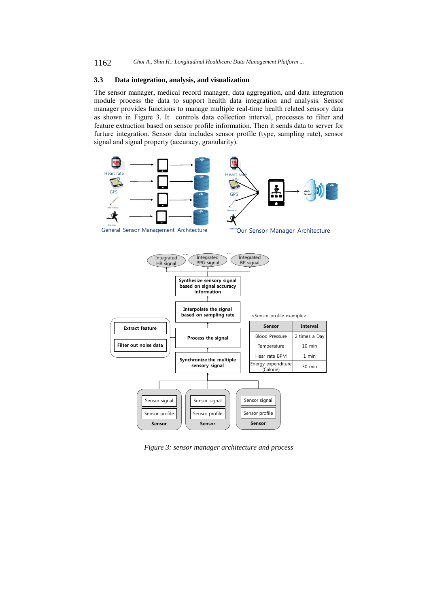### **3.3 Data integration, analysis, and visualization**

The sensor manager, medical record manager, data aggregation, and data integration module process the data to support health data integration and analysis. Sensor manager provides functions to manage multiple real-time health related sensory data as shown in Figure 3. It controls data collection interval, processes to filter and feature extraction based on sensor profile information. Then it sends data to server for furture integration. Sensor data includes sensor profile (type, sampling rate), sensor signal and signal property (accuracy, granularity).



*Figure 3: sensor manager architecture and process*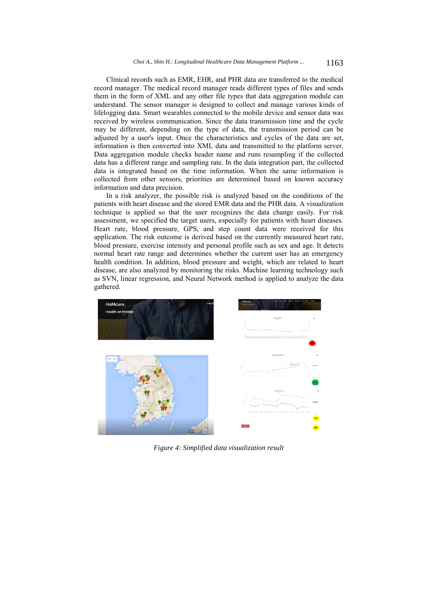Clinical records such as EMR, EHR, and PHR data are transferred to the medical record manager. The medical record manager reads different types of files and sends them in the form of XML and any other file types that data aggregation module can understand. The sensor manager is designed to collect and manage various kinds of lifelogging data. Smart wearables connected to the mobile device and sensor data was received by wireless communication. Since the data transmission time and the cycle may be different, depending on the type of data, the transmission period can be adjusted by a user's input. Once the characteristics and cycles of the data are set, information is then converted into XML data and transmitted to the platform server. Data aggregation module checks header name and runs resampling if the collected data has a different range and sampling rate. In the data integration part, the collected data is integrated based on the time information. When the same information is collected from other sensors, priorities are determined based on known accuracy information and data precision.

In a risk analyzer, the possible risk is analyzed based on the conditions of the patients with heart disease and the stored EMR data and the PHR data. A visualization technique is applied so that the user recognizes the data change easily. For risk assessment, we specified the target users, especially for patients with heart diseases. Heart rate, blood pressure, GPS, and step count data were received for this application. The risk outcome is derived based on the currently measured heart rate, blood pressure, exercise intensity and personal profile such as sex and age. It detects normal heart rate range and determines whether the current user has an emergency health condition. In addition, blood pressure and weight, which are related to heart disease, are also analyzed by monitoring the risks. Machine learning technology such as SVN, linear regression, and Neural Network method is applied to analyze the data gathered.



*Figure 4: Simplified data visualization result*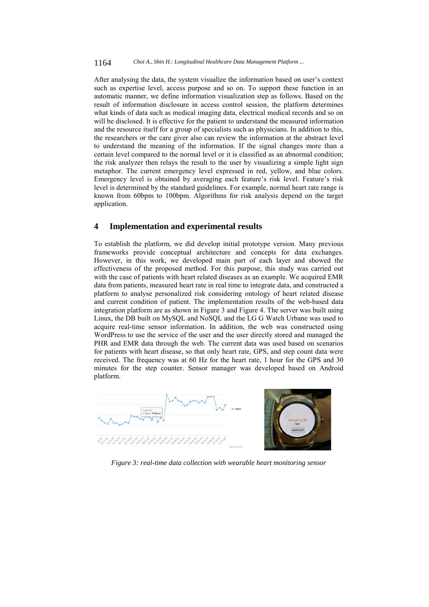After analysing the data, the system visualize the information based on user's context such as expertise level, access purpose and so on. To support these function in an automatic manner, we define information visualization step as follows. Based on the result of information disclosure in access control session, the platform determines what kinds of data such as medical imaging data, electrical medical records and so on will be disclosed. It is effective for the patient to understand the measured information and the resource itself for a group of specialists such as physicians. In addition to this, the researchers or the care giver also can review the information at the abstract level to understand the meaning of the information. If the signal changes more than a certain level compared to the normal level or it is classified as an abnormal condition; the risk analyzer then relays the result to the user by visualizing a simple light sign metaphor. The current emergency level expressed in red, yellow, and blue colors. Emergency level is obtained by averaging each feature's risk level. Feature's risk level is determined by the standard guidelines. For example, normal heart rate range is known from 60bpm to 100bpm. Algorithms for risk analysis depend on the target application.

## **4 Implementation and experimental results**

To establish the platform, we did develop initial prototype version. Many previous frameworks provide conceptual architecture and concepts for data exchanges. However, in this work, we developed main part of each layer and showed the effectiveness of the proposed method. For this purpose, this study was carried out with the case of patients with heart related diseases as an example. We acquired EMR data from patients, measured heart rate in real time to integrate data, and constructed a platform to analyse personalized risk considering ontology of heart related disease and current condition of patient. The implementation results of the web-based data integration platform are as shown in Figure 3 and Figure 4. The server was built using Linux, the DB built on MySQL and NoSQL and the LG G Watch Urbane was used to acquire real-time sensor information. In addition, the web was constructed using WordPress to use the service of the user and the user directly stored and managed the PHR and EMR data through the web. The current data was used based on scenarios for patients with heart disease, so that only heart rate, GPS, and step count data were received. The frequency was at 60 Hz for the heart rate, 1 hour for the GPS and 30 minutes for the step counter. Sensor manager was developed based on Android platform.





*Figure 3: real-time data collection with wearable heart monitoring sensor*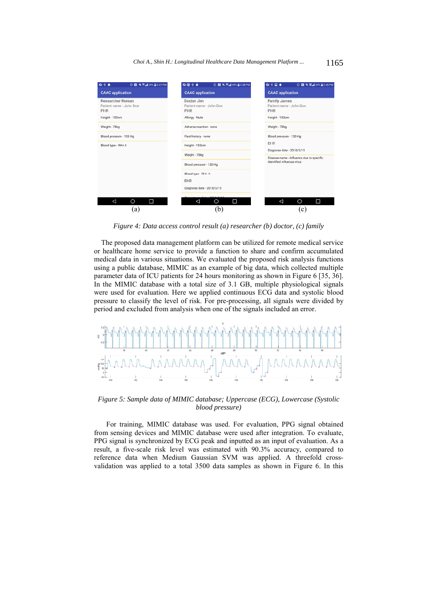| 044<br>◎ 图 <sup>减</sup> 界点69% Q 3:41 PM                                     | 0.044<br>◎ 图 <sup>减</sup> 界点69% Q3:38 PM                              | の今回る<br>◎ 图 <sup>减</sup> 智⊿ 69% Q 3:45 PM                                                           |  |
|-----------------------------------------------------------------------------|-----------------------------------------------------------------------|-----------------------------------------------------------------------------------------------------|--|
| <b>CAAC</b> application                                                     | <b>CAAC</b> application                                               | <b>CAAC</b> application                                                                             |  |
| Researcher Roman<br>Patient name - John Doe<br><b>PHR</b><br>Height - 183cm | Doctor Jim<br>Patient name - John Doe<br><b>PHR</b><br>Allergy - Nuts | <b>Family James</b><br>Patient name - John Doe<br><b>PHR</b><br>Height - 183cm                      |  |
| Weight - 78kg                                                               | Adverse reaction - none                                               | Weight - 78kg                                                                                       |  |
| Blood pressure - 120 Hg                                                     | Past history - none                                                   | Blood pressure - 120 Hg                                                                             |  |
| Blood type - RH+ A                                                          | Height - 183cm                                                        | <b>EHR</b>                                                                                          |  |
|                                                                             | Weight - 78kg                                                         | Diagnose date - 2018/3/15<br>Disease name - Influenza due to specific<br>identified influenza virus |  |
|                                                                             | Blood pressure - 120 Hg                                               |                                                                                                     |  |
|                                                                             | Blood type - RH+ A<br>EHR                                             |                                                                                                     |  |
|                                                                             | Diagnose date - 2018/3/15                                             |                                                                                                     |  |
| Δ<br>O<br>Ω                                                                 | Ω<br>Δ<br>Ο                                                           | O<br>◁<br>□                                                                                         |  |
| a)                                                                          | (b)                                                                   | $\left( c\right)$                                                                                   |  |

*Figure 4: Data access control result (a) researcher (b) doctor, (c) family* 

The proposed data management platform can be utilized for remote medical service or healthcare home service to provide a function to share and confirm accumulated medical data in various situations. We evaluated the proposed risk analysis functions using a public database, MIMIC as an example of big data, which collected multiple parameter data of ICU patients for 24 hours monitoring as shown in Figure 6 [35, 36]. In the MIMIC database with a total size of 3.1 GB, multiple physiological signals were used for evaluation. Here we applied continuous ECG data and systolic blood pressure to classify the level of risk. For pre-processing, all signals were divided by period and excluded from analysis when one of the signals included an error.



*Figure 5: Sample data of MIMIC database; Uppercase (ECG), Lowercase (Systolic blood pressure)* 

For training, MIMIC database was used. For evaluation, PPG signal obtained from sensing devices and MIMIC database were used after integration. To evaluate, PPG signal is synchronized by ECG peak and inputted as an input of evaluation. As a result, a five-scale risk level was estimated with 90.3% accuracy, compared to reference data when Medium Gaussian SVM was applied. A threefold crossvalidation was applied to a total 3500 data samples as shown in Figure 6. In this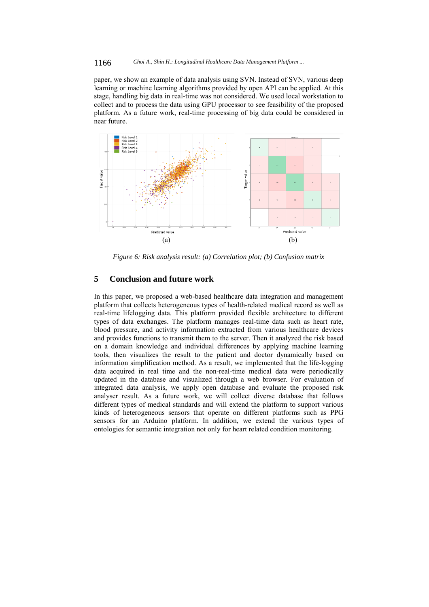#### 1166 *Choi A., Shin H.: Longitudinal Healthcare Data Management Platform ...*

paper, we show an example of data analysis using SVN. Instead of SVN, various deep learning or machine learning algorithms provided by open API can be applied. At this stage, handling big data in real-time was not considered. We used local workstation to collect and to process the data using GPU processor to see feasibility of the proposed platform. As a future work, real-time processing of big data could be considered in near future.



*Figure 6: Risk analysis result: (a) Correlation plot; (b) Confusion matrix* 

## **5 Conclusion and future work**

In this paper, we proposed a web-based healthcare data integration and management platform that collects heterogeneous types of health-related medical record as well as real-time lifelogging data. This platform provided flexible architecture to different types of data exchanges. The platform manages real-time data such as heart rate, blood pressure, and activity information extracted from various healthcare devices and provides functions to transmit them to the server. Then it analyzed the risk based on a domain knowledge and individual differences by applying machine learning tools, then visualizes the result to the patient and doctor dynamically based on information simplification method. As a result, we implemented that the life-logging data acquired in real time and the non-real-time medical data were periodically updated in the database and visualized through a web browser. For evaluation of integrated data analysis, we apply open database and evaluate the proposed risk analyser result. As a future work, we will collect diverse database that follows different types of medical standards and will extend the platform to support various kinds of heterogeneous sensors that operate on different platforms such as PPG sensors for an Arduino platform. In addition, we extend the various types of ontologies for semantic integration not only for heart related condition monitoring.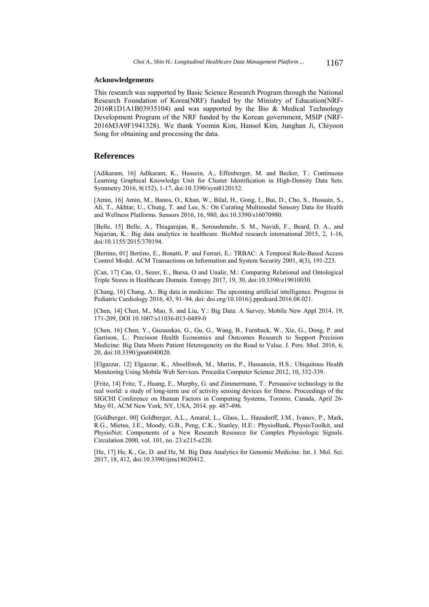#### **Acknowledgements**

This research was supported by Basic Science Research Program through the National Research Foundation of Korea(NRF) funded by the Ministry of Education(NRF-2016R1D1A1B03935104) and was supported by the Bio & Medical Technology Development Program of the NRF funded by the Korean government, MSIP (NRF-2016M3A9F1941328). We thank Yoomin Kim, Hansol Kim, Junghan Ji, Chiyoon Song for obtaining and processing the data.

#### **References**

[Adikaram, 16] Adikaram, K., Hussein, A., Effenberger, M. and Becker, T.: Continuous Learning Graphical Knowledge Unit for Cluster Identification in High-Density Data Sets. Symmetry 2016, 8(152), 1-17, doi:10.3390/sym8120152.

[Amin, 16] Amin, M., Banos, O., Khan, W., Bilal, H., Gong, I., Bui, D., Cho, S., Hussain, S., Ali, T., Akhtar, U., Chung, T. and Lee, S.: On Curating Multimodal Sensory Data for Health and Wellness Platforms. Sensors 2016, 16, 980, doi:10.3390/s16070980.

[Belle, 15] Belle, A., Thiagarajan, R., Soroushmehr, S. M., Navidi, F., Beard, D. A., and Najarian, K.: Big data analytics in healthcare. BioMed research international 2015, 2, 1-16, doi:10.1155/2015/370194.

[Bertino, 01] Bertino, E., Bonatti, P. and Ferrari, E.: TRBAC: A Temporal Role-Based Access Control Model. ACM Transactions on Information and System Security 2001, 4(3), 191-223.

[Can, 17] Can, O., Sezer, E., Bursa, O and Unalir, M.: Comparing Relational and Ontological Triple Stores in Healthcare Domain. Entropy 2017, 19, 30, doi:10.3390/e19010030.

[Chang, 16] Chang, A.: Big data in medicine: The upcoming artificial intelligence. Progress in Pediatric Cardiology 2016, 43, 91–94, doi: doi.org/10.1016/j.ppedcard.2016.08.021.

[Chen, 14] Chen, M., Mao, S. and Liu, Y.: Big Data: A Survey, Mobile New Appl 2014, 19, 171-209, DOI 10.1007/s11036-013-0489-0

[Chen, 16] Chen, Y., Guzauskas, G., Gu, G., Wang, B., Furnback, W., Xie, G., Dong, P. and Garrison, L.: Precision Health Economics and Outcomes Research to Support Precision Medicine: Big Data Meets Patient Heterogeneity on the Road to Value. J. Pers. Med. 2016, 6, 20, doi:10.3390/jpm6040020.

[Elgazzar, 12] Elgazzar, K., Aboelfotoh, M., Martin, P., Hassanein, H.S.: Ubiquitous Health Monitoring Using Mobile Web Services. Procedia Computer Science 2012, 10, 332-339.

[Fritz, 14] Fritz, T., Huang, E., Murphy, G. and Zimmermann, T.: Persuasive technology in the real world: a study of long-term use of activity sensing devices for fitness. Proceedings of the SIGCHI Conference on Human Factors in Computing Systems, Toronto, Canada, April 26- May 01, ACM New York, NY, USA, 2014. pp. 487-496.

[Goldberger, 00] Goldberger, A.L., Amaral, L., Glass, L., Hausdorff, J.M., Ivanov, P., Mark, R.G., Mietus, J.E., Moody, G.B., Peng, C.K., Stanley, H.E.: PhysioBank, PhysioToolkit, and PhysioNet: Components of a New Research Resource for Complex Physiologic Signals. Circulation 2000, vol. 101, no. 23:e215-e220.

[He, 17] He, K., Ge, D. and He, M. Big Data Analytics for Genomic Medicine. Int. J. Mol. Sci. 2017, 18, 412, doi:10.3390/ijms18020412.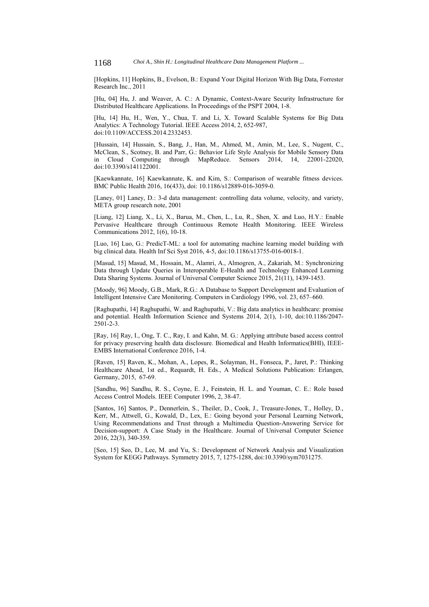[Hopkins, 11] Hopkins, B., Evelson, B.: Expand Your Digital Horizon With Big Data, Forrester Research Inc., 2011

[Hu, 04] Hu, J. and Weaver, A. C.: A Dynamic, Context-Aware Security Infrastructure for Distributed Healthcare Applications. In Proceedings of the PSPT 2004, 1-8.

[Hu, 14] Hu, H., Wen, Y., Chua, T. and Li, X. Toward Scalable Systems for Big Data Analytics: A Technology Tutorial. IEEE Access 2014, 2, 652-987, doi:10.1109/ACCESS.2014.2332453.

[Hussain, 14] Hussain, S., Bang, J., Han, M., Ahmed, M., Amin, M., Lee, S., Nugent, C., McClean, S., Scotney, B. and Parr, G.: Behavior Life Style Analysis for Mobile Sensory Data in Cloud Computing through MapReduce. Sensors 2014, 14, 22001-22020, doi:10.3390/s141122001.

[Kaewkannate, 16] Kaewkannate, K. and Kim, S.: Comparison of wearable fitness devices. BMC Public Health 2016, 16(433), doi: 10.1186/s12889-016-3059-0.

[Laney, 01] Laney, D.: 3-d data management: controlling data volume, velocity, and variety, META group research note, 2001

[Liang, 12] Liang, X., Li, X., Barua, M., Chen, L., Lu, R., Shen, X. and Luo, H.Y.: Enable Pervasive Healthcare through Continuous Remote Health Monitoring. IEEE Wireless Communications 2012, 1(6), 10-18.

[Luo, 16] Luo, G.: PredicT-ML: a tool for automating machine learning model building with big clinical data. Health Inf Sci Syst 2016, 4-5, doi:10.1186/s13755-016-0018-1.

[Masud, 15] Masud, M., Hossain, M., Alamri, A., Almogren, A., Zakariah, M.: Synchronizing Data through Update Queries in Interoperable E-Health and Technology Enhanced Learning Data Sharing Systems. Journal of Universal Computer Science 2015, 21(11), 1439-1453.

[Moody, 96] Moody, G.B., Mark, R.G.: A Database to Support Development and Evaluation of Intelligent Intensive Care Monitoring. Computers in Cardiology 1996, vol. 23, 657–660.

[Raghupathi, 14] Raghupathi, W. and Raghupathi, V.: Big data analytics in healthcare: promise and potential. Health Information Science and Systems 2014, 2(1), 1-10, doi:10.1186/2047- 2501-2-3.

[Ray, 16] Ray, I., Ong, T. C., Ray, I. and Kahn, M. G.: Applying attribute based access control for privacy preserving health data disclosure. Biomedical and Health Informatics(BHI), IEEE-EMBS International Conference 2016, 1-4.

[Raven, 15] Raven, K., Mohan, A., Lopes, R., Solayman, H., Fonseca, P., Jaret, P.: Thinking Healthcare Ahead, 1st ed., Requardt, H. Eds., A Medical Solutions Publication: Erlangen, Germany, 2015, 67-69.

[Sandhu, 96] Sandhu, R. S., Coyne, E. J., Feinstein, H. L. and Youman, C. E.: Role based Access Control Models. IEEE Computer 1996, 2, 38-47.

[Santos, 16] Santos, P., Dennerlein, S., Theiler, D., Cook, J., Treasure-Jones, T., Holley, D., Kerr, M., Attwell, G., Kowald, D., Lex, E.: Going beyond your Personal Learning Network, Using Recommendations and Trust through a Multimedia Question-Answering Service for Decision-support: A Case Study in the Healthcare. Journal of Universal Computer Science 2016, 22(3), 340-359.

[Seo, 15] Seo, D., Lee, M. and Yu, S.: Development of Network Analysis and Visualization System for KEGG Pathways. Symmetry 2015, 7, 1275-1288, doi:10.3390/sym7031275.